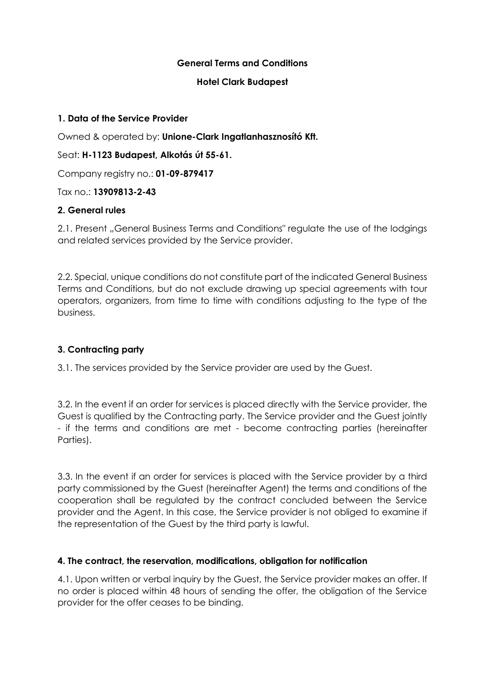### **General Terms and Conditions**

#### **Hotel Clark Budapest**

#### **1. Data of the Service Provider**

Owned & operated by: **Unione-Clark Ingatlanhasznosító Kft.**

### Seat: **H-1123 Budapest, Alkotás út 55-61.**

Company registry no.: **01-09-879417**

Tax no.: **13909813-2-43**

### **2. General rules**

2.1. Present "General Business Terms and Conditions" regulate the use of the lodgings and related services provided by the Service provider.

2.2. Special, unique conditions do not constitute part of the indicated General Business Terms and Conditions, but do not exclude drawing up special agreements with tour operators, organizers, from time to time with conditions adjusting to the type of the business.

# **3. Contracting party**

3.1. The services provided by the Service provider are used by the Guest.

3.2. In the event if an order for services is placed directly with the Service provider, the Guest is qualified by the Contracting party. The Service provider and the Guest jointly - if the terms and conditions are met - become contracting parties (hereinafter Parties).

3.3. In the event if an order for services is placed with the Service provider by a third party commissioned by the Guest (hereinafter Agent) the terms and conditions of the cooperation shall be regulated by the contract concluded between the Service provider and the Agent. In this case, the Service provider is not obliged to examine if the representation of the Guest by the third party is lawful.

### **4. The contract, the reservation, modifications, obligation for notification**

4.1. Upon written or verbal inquiry by the Guest, the Service provider makes an offer. If no order is placed within 48 hours of sending the offer, the obligation of the Service provider for the offer ceases to be binding.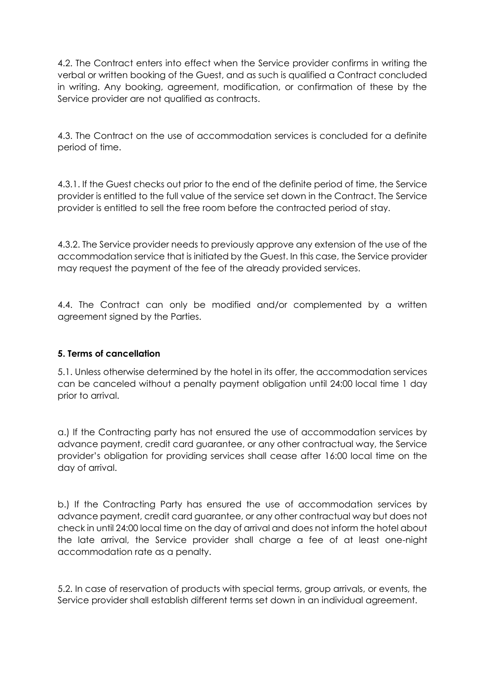4.2. The Contract enters into effect when the Service provider confirms in writing the verbal or written booking of the Guest, and as such is qualified a Contract concluded in writing. Any booking, agreement, modification, or confirmation of these by the Service provider are not qualified as contracts.

4.3. The Contract on the use of accommodation services is concluded for a definite period of time.

4.3.1. If the Guest checks out prior to the end of the definite period of time, the Service provider is entitled to the full value of the service set down in the Contract. The Service provider is entitled to sell the free room before the contracted period of stay.

4.3.2. The Service provider needs to previously approve any extension of the use of the accommodation service that is initiated by the Guest. In this case, the Service provider may request the payment of the fee of the already provided services.

4.4. The Contract can only be modified and/or complemented by a written agreement signed by the Parties.

### **5. Terms of cancellation**

5.1. Unless otherwise determined by the hotel in its offer, the accommodation services can be canceled without a penalty payment obligation until 24:00 local time 1 day prior to arrival.

a.) If the Contracting party has not ensured the use of accommodation services by advance payment, credit card guarantee, or any other contractual way, the Service provider's obligation for providing services shall cease after 16:00 local time on the day of arrival.

b.) If the Contracting Party has ensured the use of accommodation services by advance payment, credit card guarantee, or any other contractual way but does not check in until 24:00 local time on the day of arrival and does not inform the hotel about the late arrival, the Service provider shall charge a fee of at least one-night accommodation rate as a penalty.

5.2. In case of reservation of products with special terms, group arrivals, or events, the Service provider shall establish different terms set down in an individual agreement.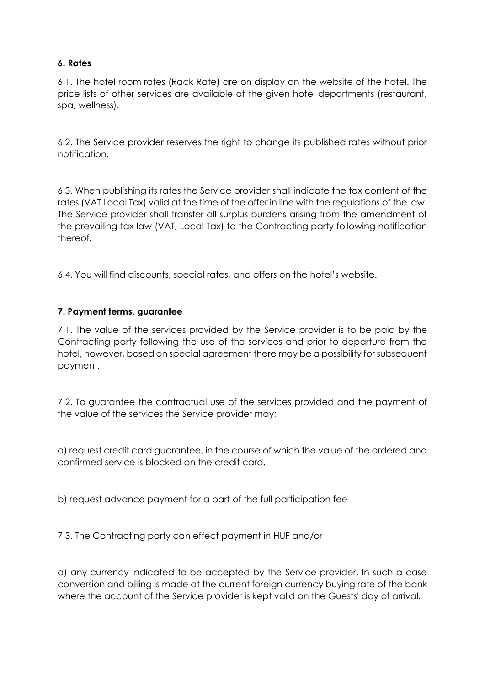# **6. Rates**

6.1. The hotel room rates (Rack Rate) are on display on the website of the hotel. The price lists of other services are available at the given hotel departments (restaurant, spa, wellness).

6.2. The Service provider reserves the right to change its published rates without prior notification.

6.3. When publishing its rates the Service provider shall indicate the tax content of the rates (VAT Local Tax) valid at the time of the offer in line with the regulations of the law. The Service provider shall transfer all surplus burdens arising from the amendment of the prevailing tax law (VAT, Local Tax) to the Contracting party following notification thereof.

6.4. You will find discounts, special rates, and offers on the hotel's website.

# **7. Payment terms, guarantee**

7.1. The value of the services provided by the Service provider is to be paid by the Contracting party following the use of the services and prior to departure from the hotel, however, based on special agreement there may be a possibility for subsequent payment.

7.2. To guarantee the contractual use of the services provided and the payment of the value of the services the Service provider may;

a) request credit card guarantee, in the course of which the value of the ordered and confirmed service is blocked on the credit card,

b) request advance payment for a part of the full participation fee

7.3. The Contracting party can effect payment in HUF and/or

a) any currency indicated to be accepted by the Service provider. In such a case conversion and billing is made at the current foreign currency buying rate of the bank where the account of the Service provider is kept valid on the Guests' day of arrival.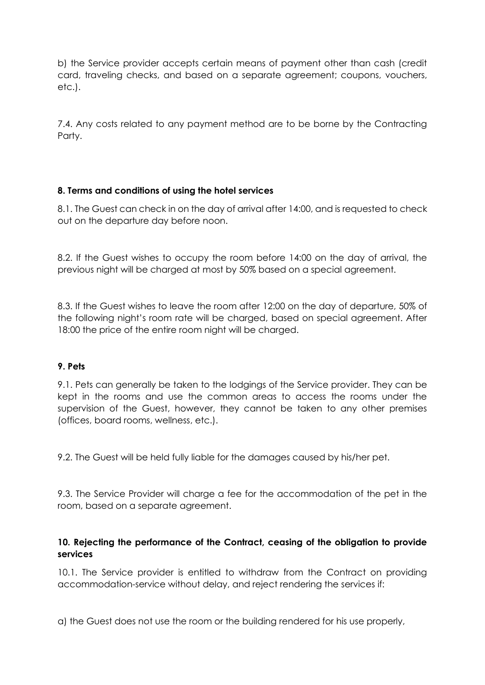b) the Service provider accepts certain means of payment other than cash (credit card, traveling checks, and based on a separate agreement; coupons, vouchers, etc.).

7.4. Any costs related to any payment method are to be borne by the Contracting Party.

# **8. Terms and conditions of using the hotel services**

8.1. The Guest can check in on the day of arrival after 14:00, and is requested to check out on the departure day before noon.

8.2. If the Guest wishes to occupy the room before 14:00 on the day of arrival, the previous night will be charged at most by 50% based on a special agreement.

8.3. If the Guest wishes to leave the room after 12:00 on the day of departure, 50% of the following night's room rate will be charged, based on special agreement. After 18:00 the price of the entire room night will be charged.

### **9. Pets**

9.1. Pets can generally be taken to the lodgings of the Service provider. They can be kept in the rooms and use the common areas to access the rooms under the supervision of the Guest, however, they cannot be taken to any other premises (offices, board rooms, wellness, etc.).

9.2. The Guest will be held fully liable for the damages caused by his/her pet.

9.3. The Service Provider will charge a fee for the accommodation of the pet in the room, based on a separate agreement.

#### **10. Rejecting the performance of the Contract, ceasing of the obligation to provide services**

10.1. The Service provider is entitled to withdraw from the Contract on providing accommodation-service without delay, and reject rendering the services if:

a) the Guest does not use the room or the building rendered for his use properly,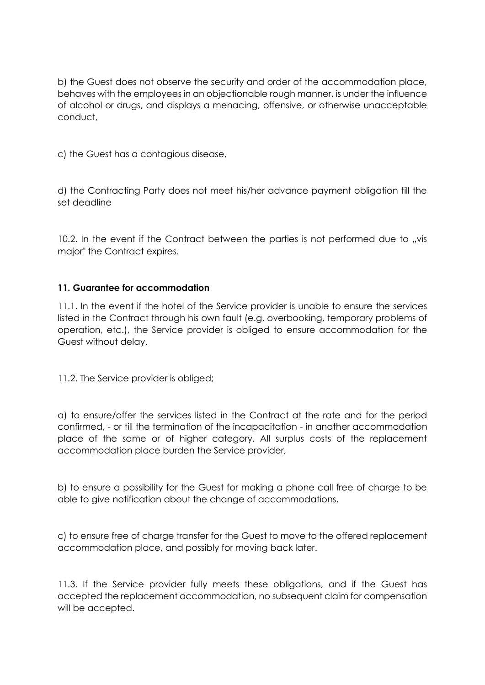b) the Guest does not observe the security and order of the accommodation place, behaves with the employees in an objectionable rough manner, is under the influence of alcohol or drugs, and displays a menacing, offensive, or otherwise unacceptable conduct,

c) the Guest has a contagious disease,

d) the Contracting Party does not meet his/her advance payment obligation till the set deadline

 $10.2$ . In the event if the Contract between the parties is not performed due to  $\sqrt{v}$  vis major" the Contract expires.

### **11. Guarantee for accommodation**

11.1. In the event if the hotel of the Service provider is unable to ensure the services listed in the Contract through his own fault (e.g. overbooking, temporary problems of operation, etc.), the Service provider is obliged to ensure accommodation for the Guest without delay.

11.2. The Service provider is obliged;

a) to ensure/offer the services listed in the Contract at the rate and for the period confirmed, - or till the termination of the incapacitation - in another accommodation place of the same or of higher category. All surplus costs of the replacement accommodation place burden the Service provider,

b) to ensure a possibility for the Guest for making a phone call free of charge to be able to give notification about the change of accommodations,

c) to ensure free of charge transfer for the Guest to move to the offered replacement accommodation place, and possibly for moving back later.

11.3. If the Service provider fully meets these obligations, and if the Guest has accepted the replacement accommodation, no subsequent claim for compensation will be accepted.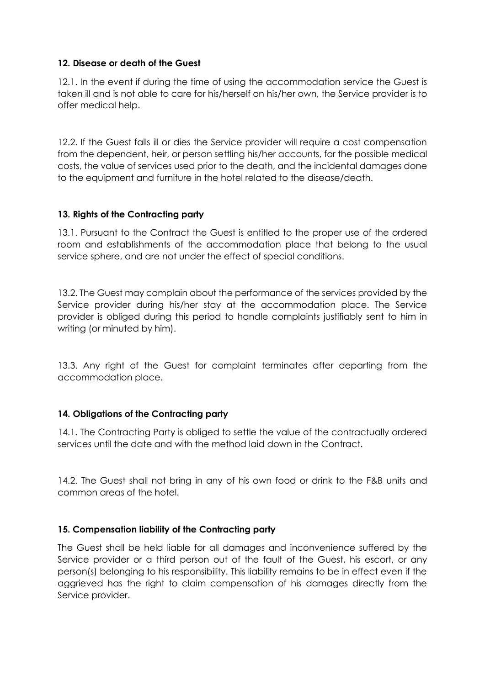# **12. Disease or death of the Guest**

12.1. In the event if during the time of using the accommodation service the Guest is taken ill and is not able to care for his/herself on his/her own, the Service provider is to offer medical help.

12.2. If the Guest falls ill or dies the Service provider will require a cost compensation from the dependent, heir, or person settling his/her accounts, for the possible medical costs, the value of services used prior to the death, and the incidental damages done to the equipment and furniture in the hotel related to the disease/death.

# **13. Rights of the Contracting party**

13.1. Pursuant to the Contract the Guest is entitled to the proper use of the ordered room and establishments of the accommodation place that belong to the usual service sphere, and are not under the effect of special conditions.

13.2. The Guest may complain about the performance of the services provided by the Service provider during his/her stay at the accommodation place. The Service provider is obliged during this period to handle complaints justifiably sent to him in writing (or minuted by him).

13.3. Any right of the Guest for complaint terminates after departing from the accommodation place.

### **14. Obligations of the Contracting party**

14.1. The Contracting Party is obliged to settle the value of the contractually ordered services until the date and with the method laid down in the Contract.

14.2. The Guest shall not bring in any of his own food or drink to the F&B units and common areas of the hotel.

### **15. Compensation liability of the Contracting party**

The Guest shall be held liable for all damages and inconvenience suffered by the Service provider or a third person out of the fault of the Guest, his escort, or any person(s) belonging to his responsibility. This liability remains to be in effect even if the aggrieved has the right to claim compensation of his damages directly from the Service provider.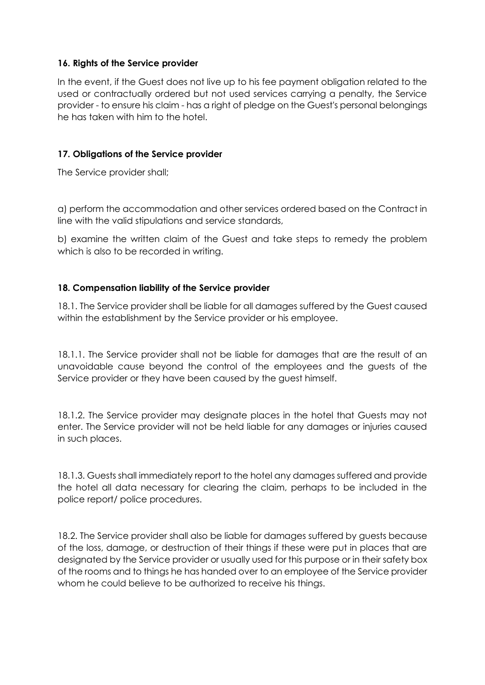### **16. Rights of the Service provider**

In the event, if the Guest does not live up to his fee payment obligation related to the used or contractually ordered but not used services carrying a penalty, the Service provider - to ensure his claim - has a right of pledge on the Guest's personal belongings he has taken with him to the hotel.

### **17. Obligations of the Service provider**

The Service provider shall;

a) perform the accommodation and other services ordered based on the Contract in line with the valid stipulations and service standards,

b) examine the written claim of the Guest and take steps to remedy the problem which is also to be recorded in writing.

# **18. Compensation liability of the Service provider**

18.1. The Service provider shall be liable for all damages suffered by the Guest caused within the establishment by the Service provider or his employee.

18.1.1. The Service provider shall not be liable for damages that are the result of an unavoidable cause beyond the control of the employees and the guests of the Service provider or they have been caused by the guest himself.

18.1.2. The Service provider may designate places in the hotel that Guests may not enter. The Service provider will not be held liable for any damages or injuries caused in such places.

18.1.3. Guests shall immediately report to the hotel any damages suffered and provide the hotel all data necessary for clearing the claim, perhaps to be included in the police report/ police procedures.

18.2. The Service provider shall also be liable for damages suffered by guests because of the loss, damage, or destruction of their things if these were put in places that are designated by the Service provider or usually used for this purpose or in their safety box of the rooms and to things he has handed over to an employee of the Service provider whom he could believe to be authorized to receive his things.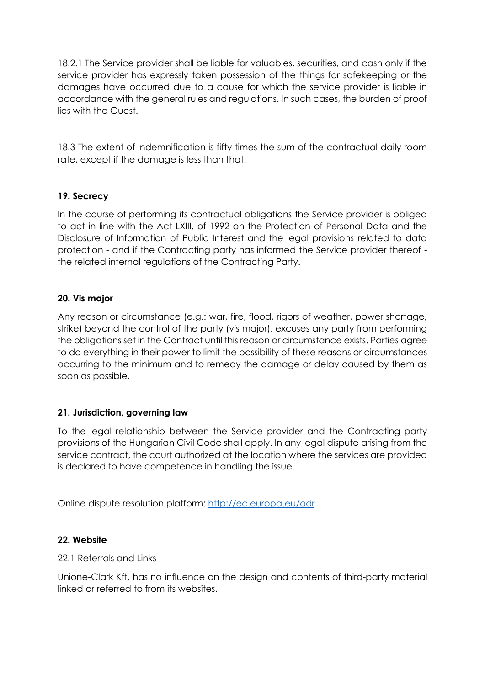18.2.1 The Service provider shall be liable for valuables, securities, and cash only if the service provider has expressly taken possession of the things for safekeeping or the damages have occurred due to a cause for which the service provider is liable in accordance with the general rules and regulations. In such cases, the burden of proof lies with the Guest.

18.3 The extent of indemnification is fifty times the sum of the contractual daily room rate, except if the damage is less than that.

# **19. Secrecy**

In the course of performing its contractual obligations the Service provider is obliged to act in line with the Act LXIII. of 1992 on the Protection of Personal Data and the Disclosure of Information of Public Interest and the legal provisions related to data protection - and if the Contracting party has informed the Service provider thereof the related internal regulations of the Contracting Party.

### **20. Vis major**

Any reason or circumstance (e.g.: war, fire, flood, rigors of weather, power shortage, strike) beyond the control of the party (vis major), excuses any party from performing the obligations set in the Contract until this reason or circumstance exists. Parties agree to do everything in their power to limit the possibility of these reasons or circumstances occurring to the minimum and to remedy the damage or delay caused by them as soon as possible.

### **21. Jurisdiction, governing law**

To the legal relationship between the Service provider and the Contracting party provisions of the Hungarian Civil Code shall apply. In any legal dispute arising from the service contract, the court authorized at the location where the services are provided is declared to have competence in handling the issue.

Online dispute resolution platform:<http://ec.europa.eu/odr>

### **22. Website**

### 22.1 Referrals and Links

Unione-Clark Kft. has no influence on the design and contents of third-party material linked or referred to from its websites.